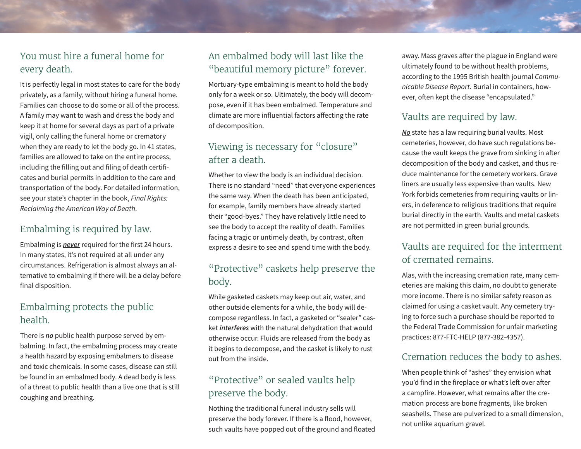## You must hire a funeral home for every death.

It is perfectly legal in most states to care for the body privately, as a family, without hiring a funeral home. Families can choose to do some or all of the process. A family may want to wash and dress the body and keep it at home for several days as part of a private vigil, only calling the funeral home or crematory when they are ready to let the body go. In 41 states, families are allowed to take on the entire process, including the filling out and filing of death certificates and burial permits in addition to the care and transportation of the body. For detailed information, see your state's chapter in the book, *Final Rights: Reclaiming the American Way of Death*.

## Embalming is required by law.

Embalming is *never* required for the first 24 hours. In many states, it's not required at all under any circumstances. Refrigeration is almost always an alternative to embalming if there will be a delay before final disposition.

## Embalming protects the public health.

There is *no* public health purpose served by embalming. In fact, the embalming process may create a health hazard by exposing embalmers to disease and toxic chemicals. In some cases, disease can still be found in an embalmed body. A dead body is less of a threat to public health than a live one that is still coughing and breathing.

## An embalmed body will last like the "beautiful memory picture" forever.

Mortuary-type embalming is meant to hold the body only for a week or so. Ultimately, the body will decompose, even if it has been embalmed. Temperature and climate are more influential factors affecting the rate of decomposition.

## Viewing is necessary for "closure" after a death.

Whether to view the body is an individual decision. There is no standard "need" that everyone experiences the same way. When the death has been anticipated, for example, family members have already started their "good-byes." They have relatively little need to see the body to accept the reality of death. Families facing a tragic or untimely death, by contrast, often express a desire to see and spend time with the body.

#### "Protective" caskets help preserve the body.

While gasketed caskets may keep out air, water, and other outside elements for a while, the body will decompose regardless. In fact, a gasketed or "sealer" casket *interferes* with the natural dehydration that would otherwise occur. Fluids are released from the body as it begins to decompose, and the casket is likely to rust out from the inside.

# "Protective" or sealed vaults help preserve the body.

Nothing the traditional funeral industry sells will preserve the body forever. If there is a flood, however, such vaults have popped out of the ground and floated away. Mass graves after the plague in England were ultimately found to be without health problems, according to the 1995 British health journal *Communicable Disease Report*. Burial in containers, however, often kept the disease "encapsulated."

## Vaults are required by law.

*No* state has a law requiring burial vaults. Most cemeteries, however, do have such regulations because the vault keeps the grave from sinking in after decomposition of the body and casket, and thus reduce maintenance for the cemetery workers. Grave liners are usually less expensive than vaults. New York forbids cemeteries from requiring vaults or liners, in deference to religious traditions that require burial directly in the earth. Vaults and metal caskets are not permitted in green burial grounds.

# Vaults are required for the interment of cremated remains.

Alas, with the increasing cremation rate, many cemeteries are making this claim, no doubt to generate more income. There is no similar safety reason as claimed for using a casket vault. Any cemetery trying to force such a purchase should be reported to the Federal Trade Commission for unfair marketing practices: 877-FTC-HELP (877-382-4357).

#### Cremation reduces the body to ashes.

When people think of "ashes" they envision what you'd find in the fireplace or what's left over after a campfire. However, what remains after the cremation process are bone fragments, like broken seashells. These are pulverized to a small dimension, not unlike aquarium gravel.